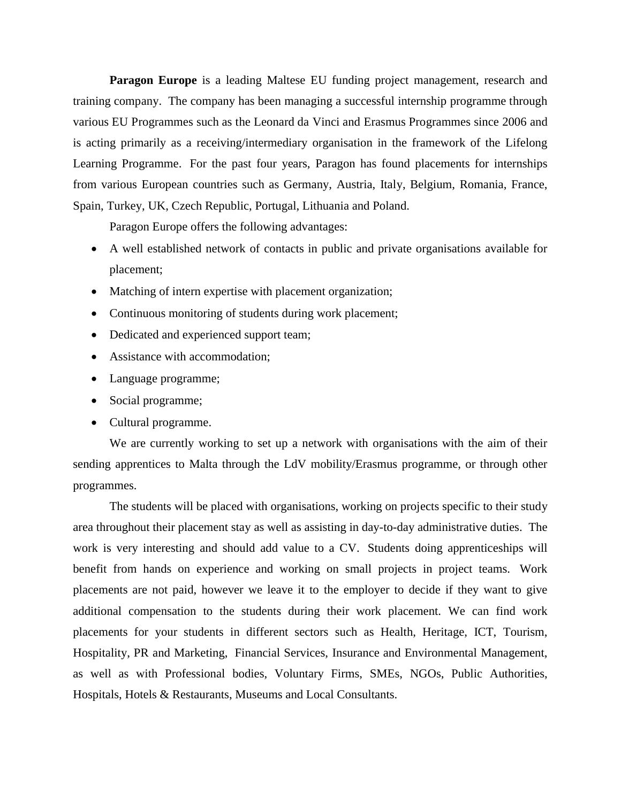**Paragon Europe** is a leading Maltese EU funding project management, research and training company. The company has been managing a successful internship programme through various EU Programmes such as the Leonard da Vinci and Erasmus Programmes since 2006 and is acting primarily as a receiving/intermediary organisation in the framework of the Lifelong Learning Programme. For the past four years, Paragon has found placements for internships from various European countries such as Germany, Austria, Italy, Belgium, Romania, France, Spain, Turkey, UK, Czech Republic, Portugal, Lithuania and Poland.

Paragon Europe offers the following advantages:

- A well established network of contacts in public and private organisations available for placement;
- Matching of intern expertise with placement organization;
- Continuous monitoring of students during work placement;
- Dedicated and experienced support team;
- Assistance with accommodation;
- Language programme;
- Social programme;
- Cultural programme.

We are currently working to set up a network with organisations with the aim of their sending apprentices to Malta through the LdV mobility/Erasmus programme, or through other programmes.

The students will be placed with organisations, working on projects specific to their study area throughout their placement stay as well as assisting in day-to-day administrative duties. The work is very interesting and should add value to a CV. Students doing apprenticeships will benefit from hands on experience and working on small projects in project teams. Work placements are not paid, however we leave it to the employer to decide if they want to give additional compensation to the students during their work placement. We can find work placements for your students in different sectors such as Health, Heritage, ICT, Tourism, Hospitality, PR and Marketing, Financial Services, Insurance and Environmental Management, as well as with Professional bodies, Voluntary Firms, SMEs, NGOs, Public Authorities, Hospitals, Hotels & Restaurants, Museums and Local Consultants.